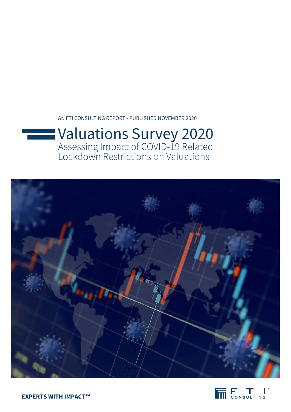AN FTI CONSULTING REPORT - PUBLISHED NOVEMBER 2020

# Valuations Survey 2020 Assessing Impact of COVID-19 Related Lockdown Restrictions on Valuations



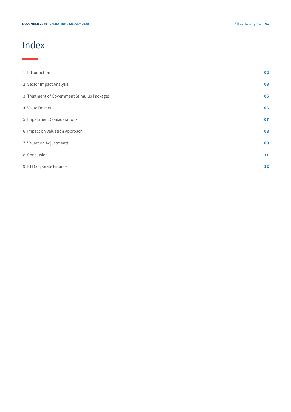# Index

۰

| 1. Introduction                              | 02 |
|----------------------------------------------|----|
| 2. Sector Impact Analysis                    | 03 |
| 3. Treatment of Government Stimulus Packages | 05 |
| 4. Value Drivers                             | 06 |
| 5. Impairment Considerations                 | 07 |
| 6. Impact on Valuation Approach              | 08 |
| 7. Valuation Adjustments                     | 09 |
| 8. Conclusion                                | 11 |
| 9. FTI Corporate Finance                     | 12 |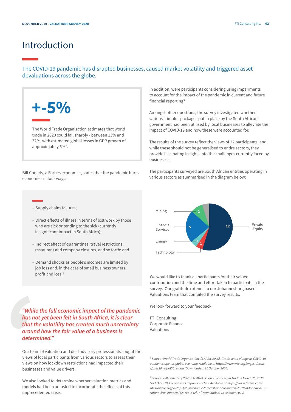### Introduction

#### The COVID-19 pandemic has disrupted businesses, caused market volatility and triggered asset devaluations across the globe.



The World Trade Organisation estimates that world trade in 2020 could fall sharply - between 13% and 32%, with estimated global losses in GDP growth of approximately 5%<sup>1</sup>.

Bill Conerly, a Forbes economist, states that the pandemic hurts economies in four ways:

- Supply chains failures;
- Direct effects of illness in terms of lost work by those who are sick or tending to the sick (currently insignificant impact in South Africa);
- Indirect effect of quarantines, travel restrictions, restaurant and company closures, and so forth; and
- Demand shocks as people's incomes are limited by job loss and, in the case of small business owners, profit and loss.²

*"While the full economic impact of the pandemic has not yet been felt in South Africa, it is clear that the volatility has created much uncertainty around how the fair value of a business is determined."*

Our team of valuation and deal advisory professionals sought the views of local participants from various sectors to assess their views on how lockdown restrictions had impacted their businesses and value drivers.

We also looked to determine whether valuation metrics and models had been adjusted to incorporate the effects of this unprecedented crisis.

In addition, were participants considering using impairments to account for the impact of the pandemic in current and future financial reporting?

Amongst other questions, the survey investigated whether various stimulus packages put in place by the South African government had been utilised by local businesses to alleviate the impact of COVID-19 and how these were accounted for.

The results of the survey reflect the views of 22 participants, and while these should not be generalised to entire sectors, they provide fascinating insights into the challenges currently faced by businesses.

The participants surveyed are South African entities operating in various sectors as summarised in the diagram below:



We would like to thank all participants for their valued contribution and the time and effort taken to participate in the survey. Our gratitude extends to our Johannesburg based Valuations team that compiled the survey results.

We look forward to your feedback.

FTI Consulting Corporate Finance Valuations

*¹ Source : World Trade Organisation, (8 APRIL 2020) . Trade set to plunge as COVID-19 pandemic upends global economy. Available at https://www.wto.org/english/news\_ e/pres20\_e/pr855\_e.htm (Downloaded: 15 October 2020)* 

*² Source : Bill Conerly , (20 March 2020) , Economic Forecast Update March 20, 2020 For COVID-19, Coronavirus Impacts. Forbes. Available at https://www.forbes.com/ sites/billconerly/2020/03/20/economic-forecast-update-march-20-2020-for-covid-19 coronavirus-impacts/#237c51c42f07 (Downloaded: 15 October 2020)*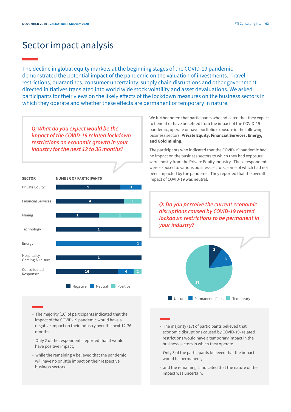### Sector impact analysis

The decline in global equity markets at the beginning stages of the COVID-19 pandemic demonstrated the potential impact of the pandemic on the valuation of investments. Travel restrictions, quarantines, consumer uncertainty, supply chain disruptions and other government directed initiatives translated into world wide stock volatility and asset devaluations. We asked participants for their views on the likely effects of the lockdown measures on the business sectors in which they operate and whether these effects are permanent or temporary in nature.

*Q: What do you expect would be the impact of the COVID-19 related lockdown restrictions on economic growth in your industry for the next 12 to 36 months?*



We further noted that participants who indicated that they expect to benefit or have benefited from the impact of the COVID-19 pandemic, operate or have portfolio exposure in the following business sectors: **Private Equity, Financial Services, Energy, and Gold mining.**

The participants who indicated that the COVID-19 pandemic had no impact on the business sectors to which they had exposure were mostly from the Private Equity industry. These respondents were exposed to various business sectors, some of which had not been impacted by the pandemic. They reported that the overall impact of COVID-19 was neutral.

*Q: Do you perceive the current economic disruptions caused by COVID-19 related lockdown restrictions to be permanent in your industry?*



- The majority (16) of participants indicated that the impact of the COVID-19 pandemic would have a negative impact on their industry over the next 12-36 months.
- Only 2 of the respondents reported that it would have positive impact,
- while the remaining 4 believed that the pandemic will have no or little impact on their respective business sectors.
- The majority (17) of participants believed that economic disruptions caused by COVID-19- related restrictions would have a temporary impact in the business sectors in which they operate.
- Only 3 of the participants believed that the impact would be permanent,
- and the remaining 2 indicated that the nature of the impact was uncertain.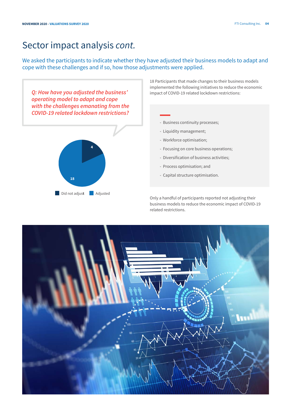## Sector impact analysis *cont.*

We asked the participants to indicate whether they have adjusted their business models to adapt and cope with these challenges and if so, how those adjustments were applied.



18 Participants that made changes to their business models implemented the following initiatives to reduce the economic impact of COVID-19 related lockdown restrictions:



- Liquidity management;
- Workforce optimisation;
- Focusing on core business operations;
- Diversification of business activities;
- Process optimisation; and
- Capital structure optimisation.

Only a handful of participants reported not adjusting their business models to reduce the economic impact of COVID-19 related restrictions.

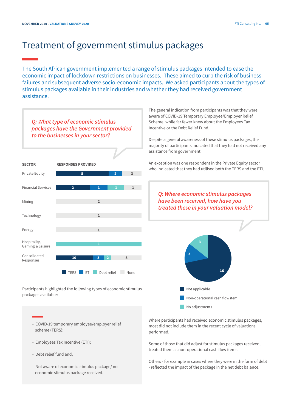## Treatment of government stimulus packages

The South African government implemented a range of stimulus packages intended to ease the economic impact of lockdown restrictions on businesses. These aimed to curb the risk of business failures and subsequent adverse socio-economic impacts. We asked participants about the types of stimulus packages available in their industries and whether they had received government assistance.



Participants highlighted the following types of economic stimulus packages available:

> Where participants had received economic stimulus packages, most did not include them in the recent cycle of valuations performed.

No adjustments

Non-operational cash flow item

Some of those that did adjust for stimulus packages received, treated them as non-operational cash flow items.

Others - for example in cases where they were in the form of debt - reflected the impact of the package in the net debt balance.

- COVID-19 temporary employee/employer relief scheme (TERS);
- Employees Tax Incentive (ETI);
- Debt relief fund and,
- Not aware of economic stimulus package/ no economic stimulus package received.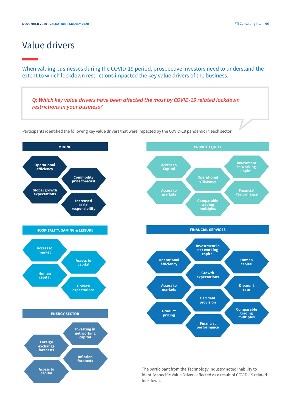### Value drivers

When valuing businesses during the COVID-19 period, prospective investors need to understand the extent to which lockdown restrictions impacted the key value drivers of the business.

*Q: Which key value drivers have been affected the most by COVID-19 related lockdown restrictions in your business?* 

Participants identified the following key value drivers that were impacted by the COVID-19 pandemic in each sector:





The participant from the Technology industry noted inability to identify specific Value Drivers affected as a result of COVID-19 related lockdown.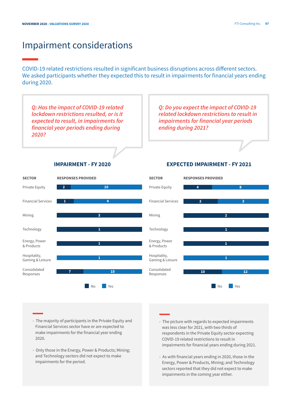### Impairment considerations

COVID-19 related restrictions resulted in significant business disruptions across different sectors. We asked participants whether they expected this to result in impairments for financial years ending during 2020.



- The majority of participants in the Private Equity and Financial Services sector have or are expected to make impairments for the financial year ending 2020.
- Only those in the Energy, Power & Products; Mining; and Technology sectors did not expect to make impairments for the period.
- The picture with regards to expected impairments was less clear for 2021, with two thirds of respondents in the Private Equity sector expecting COVID-19 related restrictions to result in impairments for financial years ending during 2021.
- As with financial years ending in 2020, those in the Energy, Power & Products, Mining; and Technology sectors reported that they did not expect to make impairments in the coming year either.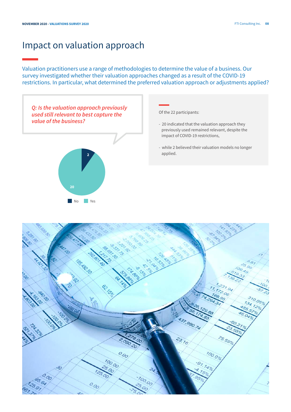### Impact on valuation approach

### Valuation practitioners use a range of methodologies to determine the value of a business. Our survey investigated whether their valuation approaches changed as a result of the COVID-19 restrictions. In particular, what determined the preferred valuation approach or adjustments applied?



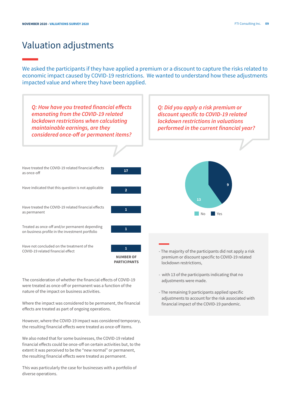## Valuation adjustments

We asked the participants if they have applied a premium or a discount to capture the risks related to economic impact caused by COVID-19 restrictions. We wanted to understand how these adjustments impacted value and where they have been applied.



The consideration of whether the financial effects of COVID-19 were treated as once-off or permanent was a function of the nature of the impact on business activities.

Where the impact was considered to be permanent, the financial effects are treated as part of ongoing operations.

However, where the COVID-19 impact was considered temporary, the resulting financial effects were treated as once-off items.

We also noted that for some businesses, the COVID-19 related financial effects could be once-off on certain activities but, to the extent it was perceived to be the "new normal" or permanent, the resulting financial effects were treated as permanent.

This was particularly the case for businesses with a portfolio of diverse operations.

- The remaining 9 participants applied specific adjustments to account for the risk associated with financial impact of the COVID-19 pandemic.

adjustments were made.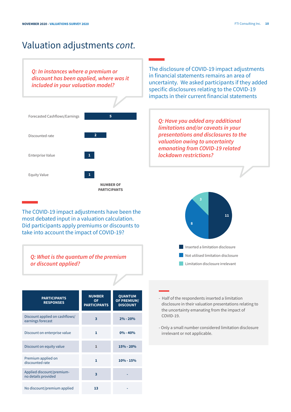## Valuation adjustments *cont.*

*Q: In instances where a premium or discount has been applied, where was it included in your valuation model?*

The disclosure of COVID-19 impact adjustments in financial statements remains an area of uncertainty. We asked participants if they added specific disclosures relating to the COVID-19 impacts in their current financial statements

*Q: Have you added any additional limitations and/or caveats in your presentations and disclosures to the valuation owing to uncertainty emanating from COVID-19 related* 

*lockdown restrictions?*



The COVID-19 impact adjustments have been the most debated input in a valuation calculation. Did participants apply premiums or discounts to take into account the impact of COVID-19?

*Q: What is the quantum of the premium or discount applied?*

| <b>PARTICIPANTS</b><br><b>RESPONSES</b>             | <b>NUMBER</b><br><b>OF</b><br><b>PARTICIPANTS</b> | <b>QUANTUM</b><br><b>OF PREMIUM/</b><br><b>DISCOUNT</b> |  |
|-----------------------------------------------------|---------------------------------------------------|---------------------------------------------------------|--|
| Discount applied on cashflows/<br>earnings forecast | 3                                                 | $2\% - 20\%$                                            |  |
| Discount on enterprise value                        | 1                                                 | $0\% - 40\%$                                            |  |
| Discount on equity value                            | $\mathbf{1}$                                      | $15% - 20%$                                             |  |
| Premium applied on<br>discounted rate               | 1                                                 | $10\% - 15\%$                                           |  |
| Applied discount/premium-<br>no details provided    | 3                                                 |                                                         |  |
| No discount/premium applied                         | 13                                                |                                                         |  |



- Half of the respondents inserted a limitation disclosure in their valuation presentations relating to the uncertainty emanating from the impact of COVID-19.

- Only a small number considered limitation disclosure irrelevant or not applicable.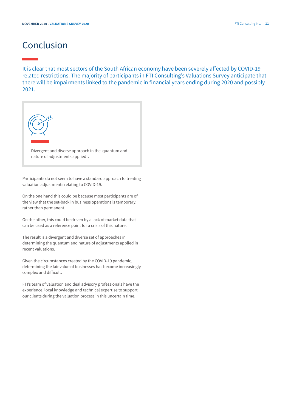## Conclusion

It is clear that most sectors of the South African economy have been severely affected by COVID-19 related restrictions. The majority of participants in FTI Consulting's Valuations Survey anticipate that there will be impairments linked to the pandemic in financial years ending during 2020 and possibly 2021.



Participants do not seem to have a standard approach to treating valuation adjustments relating to COVID-19.

On the one hand this could be because most participants are of the view that the set-back in business operations is temporary, rather than permanent.

On the other, this could be driven by a lack of market data that can be used as a reference point for a crisis of this nature.

The result is a divergent and diverse set of approaches in determining the quantum and nature of adjustments applied in recent valuations.

Given the circumstances created by the COVID-19 pandemic, determining the fair value of businesses has become increasingly complex and difficult.

FTI's team of valuation and deal advisory professionals have the experience, local knowledge and technical expertise to support our clients during the valuation process in this uncertain time.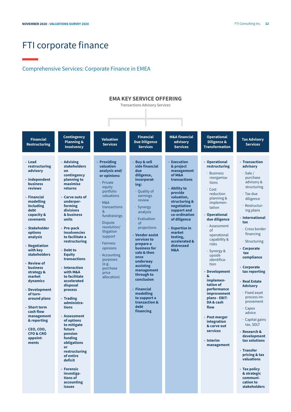### FTI corporate finance

#### Comprehensive Services: Corporate Finance in EMEA

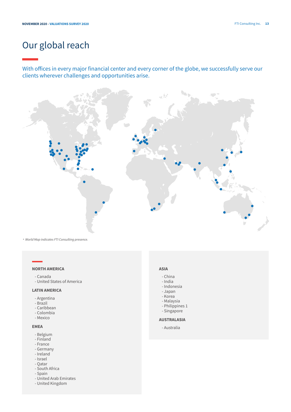# Our global reach

With offices in every major financial center and every corner of the globe, we successfully serve our clients wherever challenges and opportunities arise.



*\* World Map indicates FTI Consulting presence.*

#### **NORTH AMERICA**

- Canada
- United States of America

#### **LATIN AMERICA**

- Argentina
- Brazil
- Caribbean
- Colombia
- Mexico

#### **EMEA**

- Belgium
- Finland
- France
- Germany
- Ireland
- Israel
- Qatar
- South Africa
- Spain
- United Arab Emirates
- United Kingdom

#### **ASIA**

- China
- India
- Indonesia
- Japan
- Korea
- Malaysia
- Philippines 1
- Singapore

#### **AUSTRALASIA**

- Australia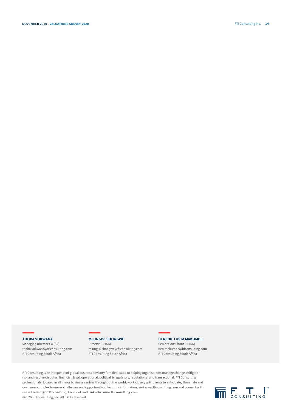#### **THOBA VOKWANA**

Managing Director CA (SA) thoba.vokwana@fticonsulting.com FTI Consulting South Africa

#### **MLUNGISI SHONGWE**

Director CA (SA) mlungisi.shongwe@fticonsulting.com FTI Consulting South Africa

#### **BENEDICTUS M MAKUMBE**

Senior Consultant CA (SA) ben.makumbe@fticonsulting.com FTI Consulting South Africa

FTI Consulting is an independent global business advisory firm dedicated to helping organisations manage change, mitigate risk and resolve disputes: financial, legal, operational, political & regulatory, reputational and transactional. FTI Consulting professionals, located in all major business centres throughout the world, work closely with clients to anticipate, illuminate and overcome complex business challenges and opportunities. For more information, visit www.fticonsulting.com and connect with us on Twitter (@FTIConsulting), Facebook and LinkedIn. **www.fticonsulting.com** ©2020 FTI Consulting, Inc. All rights reserved.